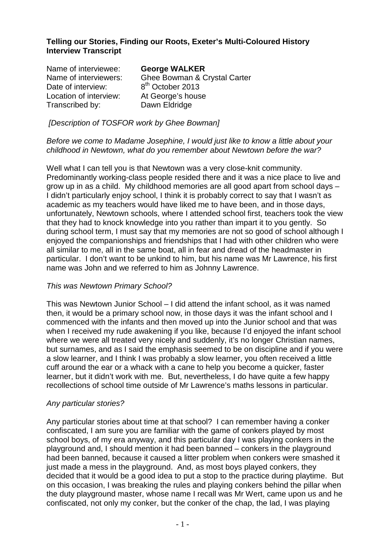# **Telling our Stories, Finding our Roots, Exeter's Multi-Coloured History Interview Transcript**

| Name of interviewee:   | <b>George WALKER</b>         |
|------------------------|------------------------------|
| Name of interviewers:  | Ghee Bowman & Crystal Carter |
| Date of interview:     | 8 <sup>th</sup> October 2013 |
| Location of interview: | At George's house            |
| Transcribed by:        | Dawn Eldridge                |
|                        |                              |

[Description of TOSFOR work by Ghee Bowman]

#### Before we come to Madame Josephine, I would just like to know a little about your childhood in Newtown, what do you remember about Newtown before the war?

Well what I can tell you is that Newtown was a very close-knit community. Predominantly working-class people resided there and it was a nice place to live and grow up in as a child. My childhood memories are all good apart from school days – I didn't particularly enjoy school, I think it is probably correct to say that I wasn't as academic as my teachers would have liked me to have been, and in those days, unfortunately, Newtown schools, where I attended school first, teachers took the view that they had to knock knowledge into you rather than impart it to you gently. So during school term, I must say that my memories are not so good of school although I enjoyed the companionships and friendships that I had with other children who were all similar to me, all in the same boat, all in fear and dread of the headmaster in particular. I don't want to be unkind to him, but his name was Mr Lawrence, his first name was John and we referred to him as Johnny Lawrence.

## This was Newtown Primary School?

This was Newtown Junior School – I did attend the infant school, as it was named then, it would be a primary school now, in those days it was the infant school and I commenced with the infants and then moved up into the Junior school and that was when I received my rude awakening if you like, because I'd enjoyed the infant school where we were all treated very nicely and suddenly, it's no longer Christian names, but surnames, and as I said the emphasis seemed to be on discipline and if you were a slow learner, and I think I was probably a slow learner, you often received a little cuff around the ear or a whack with a cane to help you become a quicker, faster learner, but it didn't work with me. But, nevertheless, I do have quite a few happy recollections of school time outside of Mr Lawrence's maths lessons in particular.

## Any particular stories?

Any particular stories about time at that school? I can remember having a conker confiscated, I am sure you are familiar with the game of conkers played by most school boys, of my era anyway, and this particular day I was playing conkers in the playground and, I should mention it had been banned – conkers in the playground had been banned, because it caused a litter problem when conkers were smashed it just made a mess in the playground. And, as most boys played conkers, they decided that it would be a good idea to put a stop to the practice during playtime. But on this occasion, I was breaking the rules and playing conkers behind the pillar when the duty playground master, whose name I recall was Mr Wert, came upon us and he confiscated, not only my conker, but the conker of the chap, the lad, I was playing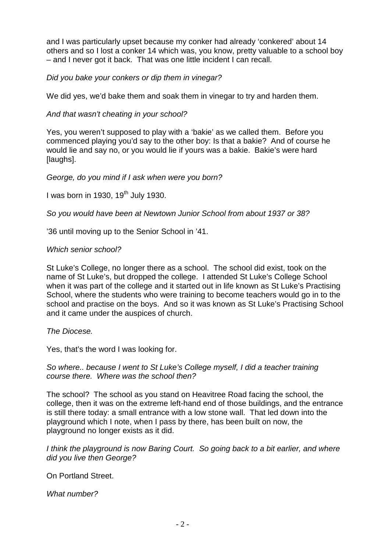and I was particularly upset because my conker had already 'conkered' about 14 others and so I lost a conker 14 which was, you know, pretty valuable to a school boy – and I never got it back. That was one little incident I can recall.

Did you bake your conkers or dip them in vinegar?

We did yes, we'd bake them and soak them in vinegar to try and harden them.

And that wasn't cheating in your school?

Yes, you weren't supposed to play with a 'bakie' as we called them. Before you commenced playing you'd say to the other boy: Is that a bakie? And of course he would lie and say no, or you would lie if yours was a bakie. Bakie's were hard [laughs].

George, do you mind if I ask when were you born?

I was born in 1930, 19<sup>th</sup> July 1930.

So you would have been at Newtown Junior School from about 1937 or 38?

'36 until moving up to the Senior School in '41.

## Which senior school?

St Luke's College, no longer there as a school. The school did exist, took on the name of St Luke's, but dropped the college. I attended St Luke's College School when it was part of the college and it started out in life known as St Luke's Practising School, where the students who were training to become teachers would go in to the school and practise on the boys. And so it was known as St Luke's Practising School and it came under the auspices of church.

The Diocese.

Yes, that's the word I was looking for.

So where.. because I went to St Luke's College myself, I did a teacher training course there. Where was the school then?

The school? The school as you stand on Heavitree Road facing the school, the college, then it was on the extreme left-hand end of those buildings, and the entrance is still there today: a small entrance with a low stone wall. That led down into the playground which I note, when I pass by there, has been built on now, the playground no longer exists as it did.

I think the playground is now Baring Court. So going back to a bit earlier, and where did you live then George?

On Portland Street.

What number?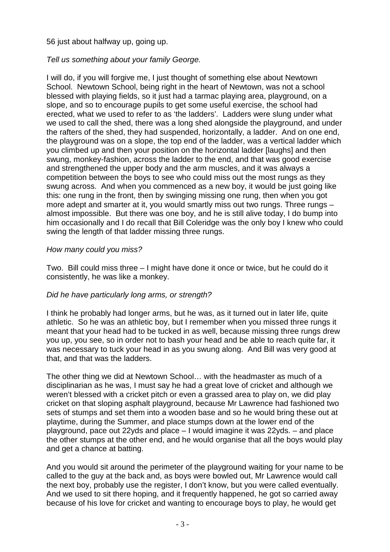56 just about halfway up, going up.

# Tell us something about your family George.

I will do, if you will forgive me, I just thought of something else about Newtown School. Newtown School, being right in the heart of Newtown, was not a school blessed with playing fields, so it just had a tarmac playing area, playground, on a slope, and so to encourage pupils to get some useful exercise, the school had erected, what we used to refer to as 'the ladders'. Ladders were slung under what we used to call the shed, there was a long shed alongside the playground, and under the rafters of the shed, they had suspended, horizontally, a ladder. And on one end, the playground was on a slope, the top end of the ladder, was a vertical ladder which you climbed up and then your position on the horizontal ladder [laughs] and then swung, monkey-fashion, across the ladder to the end, and that was good exercise and strengthened the upper body and the arm muscles, and it was always a competition between the boys to see who could miss out the most rungs as they swung across. And when you commenced as a new boy, it would be just going like this: one rung in the front, then by swinging missing one rung, then when you got more adept and smarter at it, you would smartly miss out two rungs. Three rungs – almost impossible. But there was one boy, and he is still alive today, I do bump into him occasionally and I do recall that Bill Coleridge was the only boy I knew who could swing the length of that ladder missing three rungs.

# How many could you miss?

Two. Bill could miss three – I might have done it once or twice, but he could do it consistently, he was like a monkey.

# Did he have particularly long arms, or strength?

I think he probably had longer arms, but he was, as it turned out in later life, quite athletic. So he was an athletic boy, but I remember when you missed three rungs it meant that your head had to be tucked in as well, because missing three rungs drew you up, you see, so in order not to bash your head and be able to reach quite far, it was necessary to tuck your head in as you swung along. And Bill was very good at that, and that was the ladders.

The other thing we did at Newtown School… with the headmaster as much of a disciplinarian as he was, I must say he had a great love of cricket and although we weren't blessed with a cricket pitch or even a grassed area to play on, we did play cricket on that sloping asphalt playground, because Mr Lawrence had fashioned two sets of stumps and set them into a wooden base and so he would bring these out at playtime, during the Summer, and place stumps down at the lower end of the playground, pace out 22yds and place – I would imagine it was 22yds. – and place the other stumps at the other end, and he would organise that all the boys would play and get a chance at batting.

And you would sit around the perimeter of the playground waiting for your name to be called to the guy at the back and, as boys were bowled out, Mr Lawrence would call the next boy, probably use the register, I don't know, but you were called eventually. And we used to sit there hoping, and it frequently happened, he got so carried away because of his love for cricket and wanting to encourage boys to play, he would get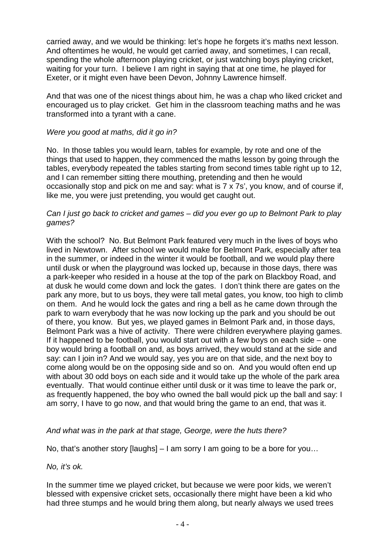carried away, and we would be thinking: let's hope he forgets it's maths next lesson. And oftentimes he would, he would get carried away, and sometimes, I can recall, spending the whole afternoon playing cricket, or just watching boys playing cricket, waiting for your turn. I believe I am right in saying that at one time, he played for Exeter, or it might even have been Devon, Johnny Lawrence himself.

And that was one of the nicest things about him, he was a chap who liked cricket and encouraged us to play cricket. Get him in the classroom teaching maths and he was transformed into a tyrant with a cane.

#### Were you good at maths, did it go in?

No. In those tables you would learn, tables for example, by rote and one of the things that used to happen, they commenced the maths lesson by going through the tables, everybody repeated the tables starting from second times table right up to 12, and I can remember sitting there mouthing, pretending and then he would occasionally stop and pick on me and say: what is 7 x 7s', you know, and of course if, like me, you were just pretending, you would get caught out.

#### Can I just go back to cricket and games – did you ever go up to Belmont Park to play games?

With the school? No. But Belmont Park featured very much in the lives of boys who lived in Newtown. After school we would make for Belmont Park, especially after tea in the summer, or indeed in the winter it would be football, and we would play there until dusk or when the playground was locked up, because in those days, there was a park-keeper who resided in a house at the top of the park on Blackboy Road, and at dusk he would come down and lock the gates. I don't think there are gates on the park any more, but to us boys, they were tall metal gates, you know, too high to climb on them. And he would lock the gates and ring a bell as he came down through the park to warn everybody that he was now locking up the park and you should be out of there, you know. But yes, we played games in Belmont Park and, in those days, Belmont Park was a hive of activity. There were children everywhere playing games. If it happened to be football, you would start out with a few boys on each side – one boy would bring a football on and, as boys arrived, they would stand at the side and say: can I join in? And we would say, yes you are on that side, and the next boy to come along would be on the opposing side and so on. And you would often end up with about 30 odd boys on each side and it would take up the whole of the park area eventually. That would continue either until dusk or it was time to leave the park or, as frequently happened, the boy who owned the ball would pick up the ball and say: I am sorry, I have to go now, and that would bring the game to an end, that was it.

## And what was in the park at that stage, George, were the huts there?

No, that's another story [laughs] – I am sorry I am going to be a bore for you…

No, it's ok.

In the summer time we played cricket, but because we were poor kids, we weren't blessed with expensive cricket sets, occasionally there might have been a kid who had three stumps and he would bring them along, but nearly always we used trees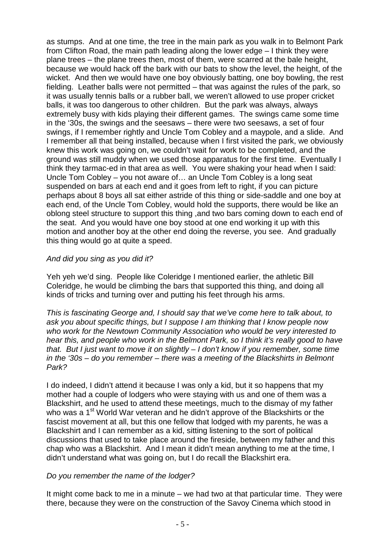as stumps. And at one time, the tree in the main park as you walk in to Belmont Park from Clifton Road, the main path leading along the lower edge – I think they were plane trees – the plane trees then, most of them, were scarred at the bale height, because we would hack off the bark with our bats to show the level, the height, of the wicket. And then we would have one boy obviously batting, one boy bowling, the rest fielding. Leather balls were not permitted – that was against the rules of the park, so it was usually tennis balls or a rubber ball, we weren't allowed to use proper cricket balls, it was too dangerous to other children. But the park was always, always extremely busy with kids playing their different games. The swings came some time in the '30s, the swings and the seesaws – there were two seesaws, a set of four swings, if I remember rightly and Uncle Tom Cobley and a maypole, and a slide. And I remember all that being installed, because when I first visited the park, we obviously knew this work was going on, we couldn't wait for work to be completed, and the ground was still muddy when we used those apparatus for the first time. Eventually I think they tarmac-ed in that area as well. You were shaking your head when I said: Uncle Tom Cobley – you not aware of… an Uncle Tom Cobley is a long seat suspended on bars at each end and it goes from left to right, if you can picture perhaps about 8 boys all sat either astride of this thing or side-saddle and one boy at each end, of the Uncle Tom Cobley, would hold the supports, there would be like an oblong steel structure to support this thing ,and two bars coming down to each end of the seat. And you would have one boy stood at one end working it up with this motion and another boy at the other end doing the reverse, you see. And gradually this thing would go at quite a speed.

# And did you sing as you did it?

Yeh yeh we'd sing. People like Coleridge I mentioned earlier, the athletic Bill Coleridge, he would be climbing the bars that supported this thing, and doing all kinds of tricks and turning over and putting his feet through his arms.

This is fascinating George and, I should say that we've come here to talk about, to ask you about specific things, but I suppose I am thinking that I know people now who work for the Newtown Community Association who would be very interested to hear this, and people who work in the Belmont Park, so I think it's really good to have that. But I just want to move it on slightly – I don't know if you remember, some time in the '30s – do you remember – there was a meeting of the Blackshirts in Belmont Park?

I do indeed, I didn't attend it because I was only a kid, but it so happens that my mother had a couple of lodgers who were staying with us and one of them was a Blackshirt, and he used to attend these meetings, much to the dismay of my father who was a 1<sup>st</sup> World War veteran and he didn't approve of the Blackshirts or the fascist movement at all, but this one fellow that lodged with my parents, he was a Blackshirt and I can remember as a kid, sitting listening to the sort of political discussions that used to take place around the fireside, between my father and this chap who was a Blackshirt. And I mean it didn't mean anything to me at the time, I didn't understand what was going on, but I do recall the Blackshirt era.

## Do you remember the name of the lodger?

It might come back to me in a minute – we had two at that particular time. They were there, because they were on the construction of the Savoy Cinema which stood in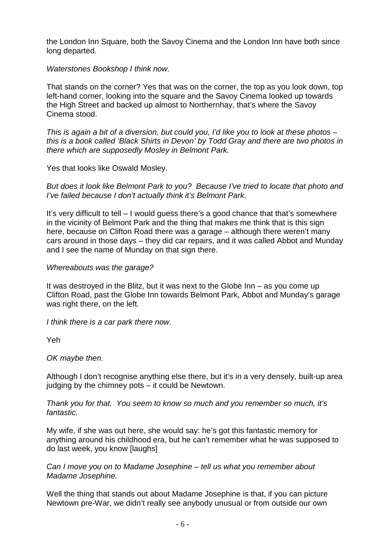the London Inn Square, both the Savoy Cinema and the London Inn have both since long departed.

Waterstones Bookshop I think now.

That stands on the corner? Yes that was on the corner, the top as you look down, top left-hand corner, looking into the square and the Savoy Cinema looked up towards the High Street and backed up almost to Northernhay, that's where the Savoy Cinema stood.

This is again a bit of a diversion, but could you, I'd like you to look at these photos – this is a book called 'Black Shirts in Devon' by Todd Gray and there are two photos in there which are supposedly Mosley in Belmont Park.

Yes that looks like Oswald Mosley.

But does it look like Belmont Park to you? Because I've tried to locate that photo and I've failed because I don't actually think it's Belmont Park.

It's very difficult to tell – I would guess there's a good chance that that's somewhere in the vicinity of Belmont Park and the thing that makes me think that is this sign here, because on Clifton Road there was a garage – although there weren't many cars around in those days – they did car repairs, and it was called Abbot and Munday and I see the name of Munday on that sign there.

## Whereabouts was the garage?

It was destroyed in the Blitz, but it was next to the Globe Inn – as you come up Clifton Road, past the Globe Inn towards Belmont Park, Abbot and Munday's garage was right there, on the left.

I think there is a car park there now.

Yeh

OK maybe then.

Although I don't recognise anything else there, but it's in a very densely, built-up area judging by the chimney pots – it could be Newtown.

Thank you for that. You seem to know so much and you remember so much, it's fantastic.

My wife, if she was out here, she would say: he's got this fantastic memory for anything around his childhood era, but he can't remember what he was supposed to do last week, you know [laughs]

Can I move you on to Madame Josephine – tell us what you remember about Madame Josephine.

Well the thing that stands out about Madame Josephine is that, if you can picture Newtown pre-War, we didn't really see anybody unusual or from outside our own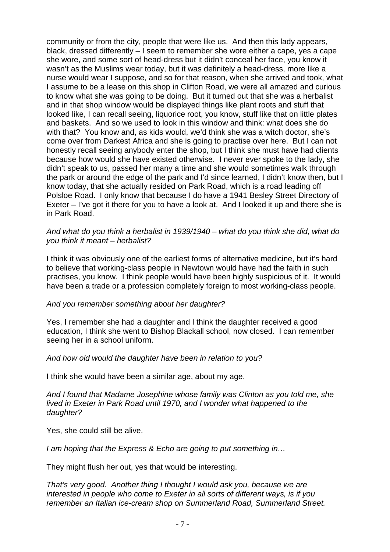community or from the city, people that were like us. And then this lady appears, black, dressed differently – I seem to remember she wore either a cape, yes a cape she wore, and some sort of head-dress but it didn't conceal her face, you know it wasn't as the Muslims wear today, but it was definitely a head-dress, more like a nurse would wear I suppose, and so for that reason, when she arrived and took, what I assume to be a lease on this shop in Clifton Road, we were all amazed and curious to know what she was going to be doing. But it turned out that she was a herbalist and in that shop window would be displayed things like plant roots and stuff that looked like, I can recall seeing, liquorice root, you know, stuff like that on little plates and baskets. And so we used to look in this window and think: what does she do with that? You know and, as kids would, we'd think she was a witch doctor, she's come over from Darkest Africa and she is going to practise over here. But I can not honestly recall seeing anybody enter the shop, but I think she must have had clients because how would she have existed otherwise. I never ever spoke to the lady, she didn't speak to us, passed her many a time and she would sometimes walk through the park or around the edge of the park and I'd since learned, I didn't know then, but I know today, that she actually resided on Park Road, which is a road leading off Polsloe Road. I only know that because I do have a 1941 Besley Street Directory of Exeter – I've got it there for you to have a look at. And I looked it up and there she is in Park Road.

#### And what do you think a herbalist in 1939/1940 – what do you think she did, what do you think it meant – herbalist?

I think it was obviously one of the earliest forms of alternative medicine, but it's hard to believe that working-class people in Newtown would have had the faith in such practises, you know. I think people would have been highly suspicious of it. It would have been a trade or a profession completely foreign to most working-class people.

## And you remember something about her daughter?

Yes, I remember she had a daughter and I think the daughter received a good education, I think she went to Bishop Blackall school, now closed. I can remember seeing her in a school uniform.

## And how old would the daughter have been in relation to you?

I think she would have been a similar age, about my age.

And I found that Madame Josephine whose family was Clinton as you told me, she lived in Exeter in Park Road until 1970, and I wonder what happened to the daughter?

Yes, she could still be alive.

I am hoping that the Express & Echo are going to put something in…

They might flush her out, yes that would be interesting.

That's very good. Another thing I thought I would ask you, because we are interested in people who come to Exeter in all sorts of different ways, is if you remember an Italian ice-cream shop on Summerland Road, Summerland Street.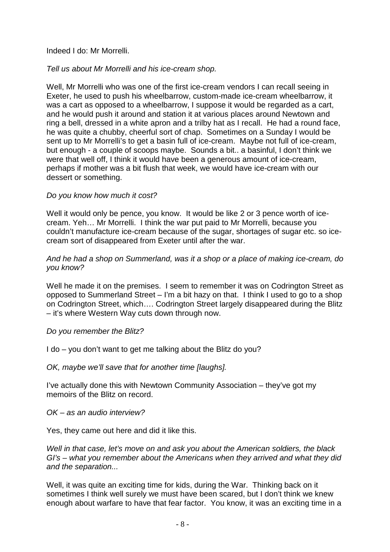## Indeed I do: Mr Morrelli.

# Tell us about Mr Morrelli and his ice-cream shop.

Well, Mr Morrelli who was one of the first ice-cream vendors I can recall seeing in Exeter, he used to push his wheelbarrow, custom-made ice-cream wheelbarrow, it was a cart as opposed to a wheelbarrow, I suppose it would be regarded as a cart, and he would push it around and station it at various places around Newtown and ring a bell, dressed in a white apron and a trilby hat as I recall. He had a round face, he was quite a chubby, cheerful sort of chap. Sometimes on a Sunday I would be sent up to Mr Morrelli's to get a basin full of ice-cream. Maybe not full of ice-cream, but enough - a couple of scoops maybe. Sounds a bit.. a basinful, I don't think we were that well off, I think it would have been a generous amount of ice-cream, perhaps if mother was a bit flush that week, we would have ice-cream with our dessert or something.

# Do you know how much it cost?

Well it would only be pence, you know. It would be like 2 or 3 pence worth of icecream. Yeh… Mr Morrelli. I think the war put paid to Mr Morrelli, because you couldn't manufacture ice-cream because of the sugar, shortages of sugar etc. so icecream sort of disappeared from Exeter until after the war.

## And he had a shop on Summerland, was it a shop or a place of making ice-cream, do you know?

Well he made it on the premises. I seem to remember it was on Codrington Street as opposed to Summerland Street – I'm a bit hazy on that. I think I used to go to a shop on Codrington Street, which…. Codrington Street largely disappeared during the Blitz – it's where Western Way cuts down through now.

## Do you remember the Blitz?

I do – you don't want to get me talking about the Blitz do you?

OK, maybe we'll save that for another time [laughs].

I've actually done this with Newtown Community Association – they've got my memoirs of the Blitz on record.

OK – as an audio interview?

Yes, they came out here and did it like this.

Well in that case, let's move on and ask you about the American soldiers, the black GI's – what you remember about the Americans when they arrived and what they did and the separation...

Well, it was quite an exciting time for kids, during the War. Thinking back on it sometimes I think well surely we must have been scared, but I don't think we knew enough about warfare to have that fear factor. You know, it was an exciting time in a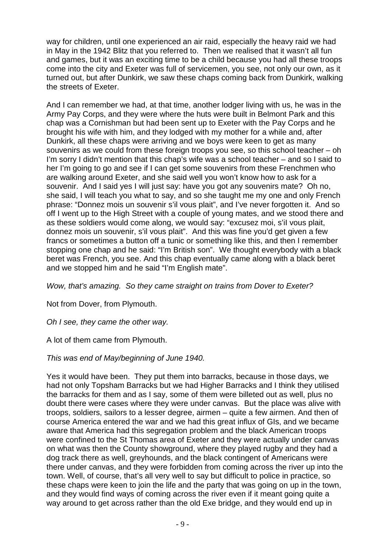way for children, until one experienced an air raid, especially the heavy raid we had in May in the 1942 Blitz that you referred to. Then we realised that it wasn't all fun and games, but it was an exciting time to be a child because you had all these troops come into the city and Exeter was full of servicemen, you see, not only our own, as it turned out, but after Dunkirk, we saw these chaps coming back from Dunkirk, walking the streets of Exeter.

And I can remember we had, at that time, another lodger living with us, he was in the Army Pay Corps, and they were where the huts were built in Belmont Park and this chap was a Cornishman but had been sent up to Exeter with the Pay Corps and he brought his wife with him, and they lodged with my mother for a while and, after Dunkirk, all these chaps were arriving and we boys were keen to get as many souvenirs as we could from these foreign troops you see, so this school teacher – oh I'm sorry I didn't mention that this chap's wife was a school teacher – and so I said to her I'm going to go and see if I can get some souvenirs from these Frenchmen who are walking around Exeter, and she said well you won't know how to ask for a souvenir. And I said yes I will just say: have you got any souvenirs mate? Oh no, she said, I will teach you what to say, and so she taught me my one and only French phrase: "Donnez mois un souvenir s'il vous plait", and I've never forgotten it. And so off I went up to the High Street with a couple of young mates, and we stood there and as these soldiers would come along, we would say: "excusez moi, s'iI vous plait, donnez mois un souvenir, s'il vous plait". And this was fine you'd get given a few francs or sometimes a button off a tunic or something like this, and then I remember stopping one chap and he said: "I'm British son". We thought everybody with a black beret was French, you see. And this chap eventually came along with a black beret and we stopped him and he said "I'm English mate".

Wow, that's amazing. So they came straight on trains from Dover to Exeter?

Not from Dover, from Plymouth.

Oh I see, they came the other way.

A lot of them came from Plymouth.

# This was end of May/beginning of June 1940.

Yes it would have been. They put them into barracks, because in those days, we had not only Topsham Barracks but we had Higher Barracks and I think they utilised the barracks for them and as I say, some of them were billeted out as well, plus no doubt there were cases where they were under canvas. But the place was alive with troops, soldiers, sailors to a lesser degree, airmen – quite a few airmen. And then of course America entered the war and we had this great influx of GIs, and we became aware that America had this segregation problem and the black American troops were confined to the St Thomas area of Exeter and they were actually under canvas on what was then the County showground, where they played rugby and they had a dog track there as well, greyhounds, and the black contingent of Americans were there under canvas, and they were forbidden from coming across the river up into the town. Well, of course, that's all very well to say but difficult to police in practice, so these chaps were keen to join the life and the party that was going on up in the town, and they would find ways of coming across the river even if it meant going quite a way around to get across rather than the old Exe bridge, and they would end up in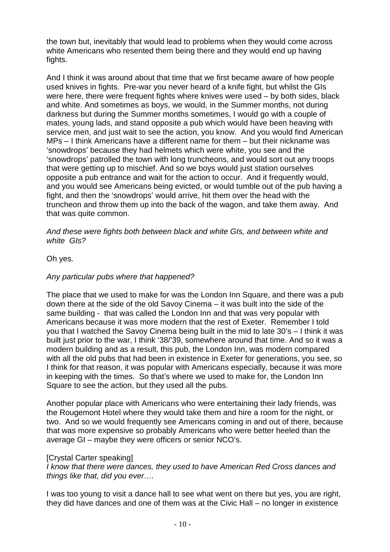the town but, inevitably that would lead to problems when they would come across white Americans who resented them being there and they would end up having fights.

And I think it was around about that time that we first became aware of how people used knives in fights. Pre-war you never heard of a knife fight, but whilst the GIs were here, there were frequent fights where knives were used – by both sides, black and white. And sometimes as boys, we would, in the Summer months, not during darkness but during the Summer months sometimes, I would go with a couple of mates, young lads, and stand opposite a pub which would have been heaving with service men, and just wait to see the action, you know. And you would find American MPs – I think Americans have a different name for them – but their nickname was 'snowdrops' because they had helmets which were white, you see and the 'snowdrops' patrolled the town with long truncheons, and would sort out any troops that were getting up to mischief. And so we boys would just station ourselves opposite a pub entrance and wait for the action to occur. And it frequently would, and you would see Americans being evicted, or would tumble out of the pub having a fight, and then the 'snowdrops' would arrive, hit them over the head with the truncheon and throw them up into the back of the wagon, and take them away. And that was quite common.

And these were fights both between black and white GIs, and between white and white GIs?

Oh yes.

## Any particular pubs where that happened?

The place that we used to make for was the London Inn Square, and there was a pub down there at the side of the old Savoy Cinema – it was built into the side of the same building - that was called the London Inn and that was very popular with Americans because it was more modern that the rest of Exeter. Remember I told you that I watched the Savoy Cinema being built in the mid to late 30's – I think it was built just prior to the war, I think '38/'39, somewhere around that time. And so it was a modern building and as a result, this pub, the London Inn, was modern compared with all the old pubs that had been in existence in Exeter for generations, you see, so I think for that reason, it was popular with Americans especially, because it was more in keeping with the times. So that's where we used to make for, the London Inn Square to see the action, but they used all the pubs.

Another popular place with Americans who were entertaining their lady friends, was the Rougemont Hotel where they would take them and hire a room for the night, or two. And so we would frequently see Americans coming in and out of there, because that was more expensive so probably Americans who were better heeled than the average GI – maybe they were officers or senior NCO's.

## [Crystal Carter speaking]

I know that there were dances, they used to have American Red Cross dances and things like that, did you ever….

I was too young to visit a dance hall to see what went on there but yes, you are right, they did have dances and one of them was at the Civic Hall – no longer in existence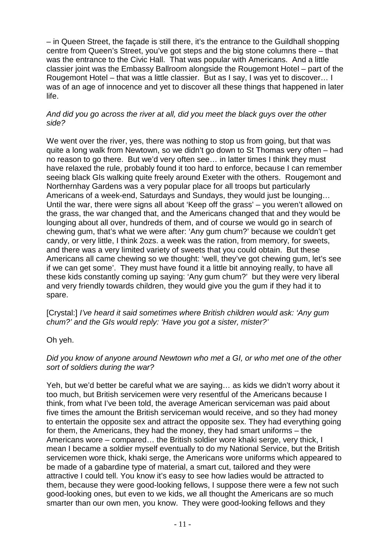– in Queen Street, the façade is still there, it's the entrance to the Guildhall shopping centre from Queen's Street, you've got steps and the big stone columns there – that was the entrance to the Civic Hall. That was popular with Americans. And a little classier joint was the Embassy Ballroom alongside the Rougemont Hotel – part of the Rougemont Hotel – that was a little classier. But as I say, I was yet to discover… I was of an age of innocence and yet to discover all these things that happened in later life.

## And did you go across the river at all, did you meet the black guys over the other side?

We went over the river, yes, there was nothing to stop us from going, but that was quite a long walk from Newtown, so we didn't go down to St Thomas very often – had no reason to go there. But we'd very often see… in latter times I think they must have relaxed the rule, probably found it too hard to enforce, because I can remember seeing black GIs walking quite freely around Exeter with the others. Rougemont and Northernhay Gardens was a very popular place for all troops but particularly Americans of a week-end, Saturdays and Sundays, they would just be lounging… Until the war, there were signs all about 'Keep off the grass' – you weren't allowed on the grass, the war changed that, and the Americans changed that and they would be lounging about all over, hundreds of them, and of course we would go in search of chewing gum, that's what we were after: 'Any gum chum?' because we couldn't get candy, or very little, I think 2ozs. a week was the ration, from memory, for sweets, and there was a very limited variety of sweets that you could obtain. But these Americans all came chewing so we thought: 'well, they've got chewing gum, let's see if we can get some'. They must have found it a little bit annoying really, to have all these kids constantly coming up saying: 'Any gum chum?' but they were very liberal and very friendly towards children, they would give you the gum if they had it to spare.

[Crystal:] I've heard it said sometimes where British children would ask: 'Any gum chum?' and the GIs would reply: 'Have you got a sister, mister?'

Oh yeh.

# Did you know of anyone around Newtown who met a GI, or who met one of the other sort of soldiers during the war?

Yeh, but we'd better be careful what we are saying… as kids we didn't worry about it too much, but British servicemen were very resentful of the Americans because I think, from what I've been told, the average American serviceman was paid about five times the amount the British serviceman would receive, and so they had money to entertain the opposite sex and attract the opposite sex. They had everything going for them, the Americans, they had the money, they had smart uniforms – the Americans wore – compared… the British soldier wore khaki serge, very thick, I mean I became a soldier myself eventually to do my National Service, but the British servicemen wore thick, khaki serge, the Americans wore uniforms which appeared to be made of a gabardine type of material, a smart cut, tailored and they were attractive I could tell. You know it's easy to see how ladies would be attracted to them, because they were good-looking fellows, I suppose there were a few not such good-looking ones, but even to we kids, we all thought the Americans are so much smarter than our own men, you know. They were good-looking fellows and they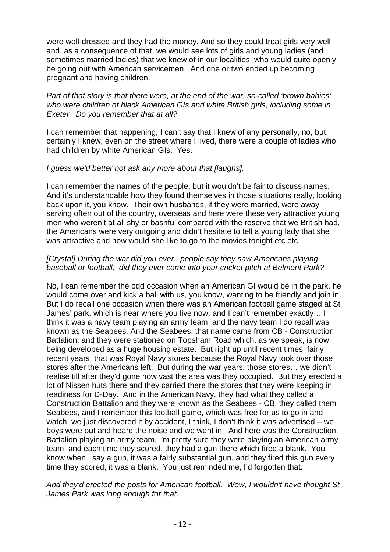were well-dressed and they had the money. And so they could treat girls very well and, as a consequence of that, we would see lots of girls and young ladies (and sometimes married ladies) that we knew of in our localities, who would quite openly be going out with American servicemen. And one or two ended up becoming pregnant and having children.

Part of that story is that there were, at the end of the war, so-called 'brown babies' who were children of black American GIs and white British girls, including some in Exeter. Do you remember that at all?

I can remember that happening, I can't say that I knew of any personally, no, but certainly I knew, even on the street where I lived, there were a couple of ladies who had children by white American GIs. Yes.

## I guess we'd better not ask any more about that [laughs].

I can remember the names of the people, but it wouldn't be fair to discuss names. And it's understandable how they found themselves in those situations really, looking back upon it, you know. Their own husbands, if they were married, were away serving often out of the country, overseas and here were these very attractive young men who weren't at all shy or bashful compared with the reserve that we British had, the Americans were very outgoing and didn't hesitate to tell a young lady that she was attractive and how would she like to go to the movies tonight etc etc.

## [Crystal] During the war did you ever.. people say they saw Americans playing baseball or football, did they ever come into your cricket pitch at Belmont Park?

No, I can remember the odd occasion when an American GI would be in the park, he would come over and kick a ball with us, you know, wanting to be friendly and join in. But I do recall one occasion when there was an American football game staged at St James' park, which is near where you live now, and I can't remember exactly… I think it was a navy team playing an army team, and the navy team I do recall was known as the Seabees. And the Seabees, that name came from CB - Construction Battalion, and they were stationed on Topsham Road which, as we speak, is now being developed as a huge housing estate. But right up until recent times, fairly recent years, that was Royal Navy stores because the Royal Navy took over those stores after the Americans left. But during the war years, those stores… we didn't realise till after they'd gone how vast the area was they occupied. But they erected a lot of Nissen huts there and they carried there the stores that they were keeping in readiness for D-Day. And in the American Navy, they had what they called a Construction Battalion and they were known as the Seabees - CB, they called them Seabees, and I remember this football game, which was free for us to go in and watch, we just discovered it by accident, I think, I don't think it was advertised – we boys were out and heard the noise and we went in. And here was the Construction Battalion playing an army team, I'm pretty sure they were playing an American army team, and each time they scored, they had a gun there which fired a blank. You know when I say a gun, it was a fairly substantial gun, and they fired this gun every time they scored, it was a blank. You just reminded me, I'd forgotten that.

## And they'd erected the posts for American football. Wow, I wouldn't have thought St James Park was long enough for that.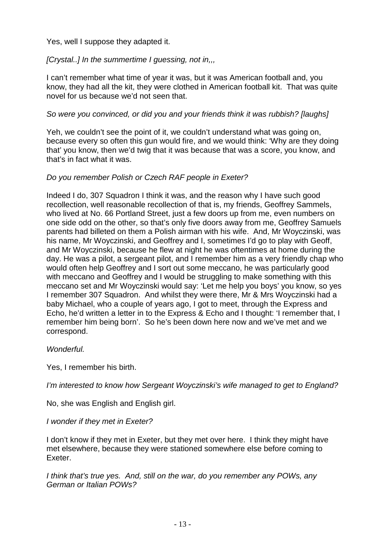Yes, well I suppose they adapted it.

[Crystal..] In the summertime I guessing, not in,,

I can't remember what time of year it was, but it was American football and, you know, they had all the kit, they were clothed in American football kit. That was quite novel for us because we'd not seen that.

# So were you convinced, or did you and your friends think it was rubbish? [laughs]

Yeh, we couldn't see the point of it, we couldn't understand what was going on, because every so often this gun would fire, and we would think: 'Why are they doing that' you know, then we'd twig that it was because that was a score, you know, and that's in fact what it was.

# Do you remember Polish or Czech RAF people in Exeter?

Indeed I do, 307 Squadron I think it was, and the reason why I have such good recollection, well reasonable recollection of that is, my friends, Geoffrey Sammels, who lived at No. 66 Portland Street, just a few doors up from me, even numbers on one side odd on the other, so that's only five doors away from me, Geoffrey Samuels parents had billeted on them a Polish airman with his wife. And, Mr Woyczinski, was his name, Mr Woyczinski, and Geoffrey and I, sometimes I'd go to play with Geoff, and Mr Woyczinski, because he flew at night he was oftentimes at home during the day. He was a pilot, a sergeant pilot, and I remember him as a very friendly chap who would often help Geoffrey and I sort out some meccano, he was particularly good with meccano and Geoffrey and I would be struggling to make something with this meccano set and Mr Woyczinski would say: 'Let me help you boys' you know, so yes I remember 307 Squadron. And whilst they were there, Mr & Mrs Woyczinski had a baby Michael, who a couple of years ago, I got to meet, through the Express and Echo, he'd written a letter in to the Express & Echo and I thought: 'I remember that, I remember him being born'. So he's been down here now and we've met and we correspond.

## Wonderful.

Yes, I remember his birth.

I'm interested to know how Sergeant Woyczinski's wife managed to get to England?

No, she was English and English girl.

## I wonder if they met in Exeter?

I don't know if they met in Exeter, but they met over here. I think they might have met elsewhere, because they were stationed somewhere else before coming to Exeter.

I think that's true yes. And, still on the war, do you remember any POWs, any German or Italian POWs?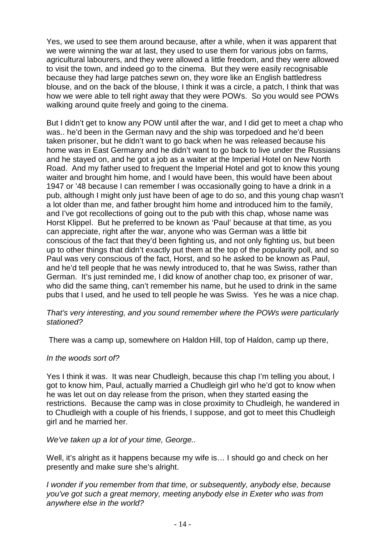Yes, we used to see them around because, after a while, when it was apparent that we were winning the war at last, they used to use them for various jobs on farms, agricultural labourers, and they were allowed a little freedom, and they were allowed to visit the town, and indeed go to the cinema. But they were easily recognisable because they had large patches sewn on, they wore like an English battledress blouse, and on the back of the blouse, I think it was a circle, a patch, I think that was how we were able to tell right away that they were POWs. So you would see POWs walking around quite freely and going to the cinema.

But I didn't get to know any POW until after the war, and I did get to meet a chap who was.. he'd been in the German navy and the ship was torpedoed and he'd been taken prisoner, but he didn't want to go back when he was released because his home was in East Germany and he didn't want to go back to live under the Russians and he stayed on, and he got a job as a waiter at the Imperial Hotel on New North Road. And my father used to frequent the Imperial Hotel and got to know this young waiter and brought him home, and I would have been, this would have been about 1947 or '48 because I can remember I was occasionally going to have a drink in a pub, although I might only just have been of age to do so, and this young chap wasn't a lot older than me, and father brought him home and introduced him to the family, and I've got recollections of going out to the pub with this chap, whose name was Horst Klippel. But he preferred to be known as 'Paul' because at that time, as you can appreciate, right after the war, anyone who was German was a little bit conscious of the fact that they'd been fighting us, and not only fighting us, but been up to other things that didn't exactly put them at the top of the popularity poll, and so Paul was very conscious of the fact, Horst, and so he asked to be known as Paul, and he'd tell people that he was newly introduced to, that he was Swiss, rather than German. It's just reminded me, I did know of another chap too, ex prisoner of war, who did the same thing, can't remember his name, but he used to drink in the same pubs that I used, and he used to tell people he was Swiss. Yes he was a nice chap.

## That's very interesting, and you sound remember where the POWs were particularly stationed?

There was a camp up, somewhere on Haldon Hill, top of Haldon, camp up there,

## In the woods sort of?

Yes I think it was. It was near Chudleigh, because this chap I'm telling you about, I got to know him, Paul, actually married a Chudleigh girl who he'd got to know when he was let out on day release from the prison, when they started easing the restrictions. Because the camp was in close proximity to Chudleigh, he wandered in to Chudleigh with a couple of his friends, I suppose, and got to meet this Chudleigh girl and he married her.

We've taken up a lot of your time, George..

Well, it's alright as it happens because my wife is... I should go and check on her presently and make sure she's alright.

I wonder if you remember from that time, or subsequently, anybody else, because you've got such a great memory, meeting anybody else in Exeter who was from anywhere else in the world?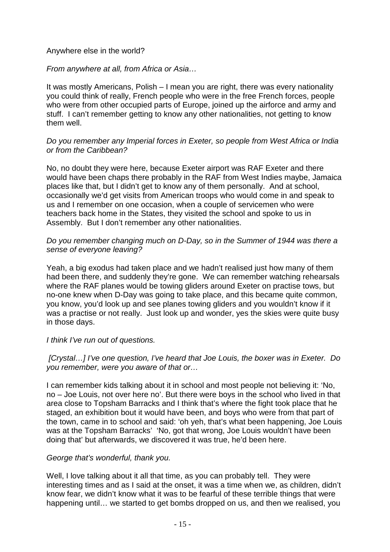## Anywhere else in the world?

# From anywhere at all, from Africa or Asia…

It was mostly Americans, Polish – I mean you are right, there was every nationality you could think of really, French people who were in the free French forces, people who were from other occupied parts of Europe, joined up the airforce and army and stuff. I can't remember getting to know any other nationalities, not getting to know them well.

## Do you remember any Imperial forces in Exeter, so people from West Africa or India or from the Caribbean?

No, no doubt they were here, because Exeter airport was RAF Exeter and there would have been chaps there probably in the RAF from West Indies maybe, Jamaica places like that, but I didn't get to know any of them personally. And at school, occasionally we'd get visits from American troops who would come in and speak to us and I remember on one occasion, when a couple of servicemen who were teachers back home in the States, they visited the school and spoke to us in Assembly. But I don't remember any other nationalities.

## Do you remember changing much on D-Day, so in the Summer of 1944 was there a sense of everyone leaving?

Yeah, a big exodus had taken place and we hadn't realised just how many of them had been there, and suddenly they're gone. We can remember watching rehearsals where the RAF planes would be towing gliders around Exeter on practise tows, but no-one knew when D-Day was going to take place, and this became quite common, you know, you'd look up and see planes towing gliders and you wouldn't know if it was a practise or not really. Just look up and wonder, yes the skies were quite busy in those days.

## I think I've run out of questions.

# [Crystal…] I've one question, I've heard that Joe Louis, the boxer was in Exeter. Do you remember, were you aware of that or…

I can remember kids talking about it in school and most people not believing it: 'No, no – Joe Louis, not over here no'. But there were boys in the school who lived in that area close to Topsham Barracks and I think that's where the fight took place that he staged, an exhibition bout it would have been, and boys who were from that part of the town, came in to school and said: 'oh yeh, that's what been happening, Joe Louis was at the Topsham Barracks' 'No, got that wrong, Joe Louis wouldn't have been doing that' but afterwards, we discovered it was true, he'd been here.

## George that's wonderful, thank you.

Well, I love talking about it all that time, as you can probably tell. They were interesting times and as I said at the onset, it was a time when we, as children, didn't know fear, we didn't know what it was to be fearful of these terrible things that were happening until… we started to get bombs dropped on us, and then we realised, you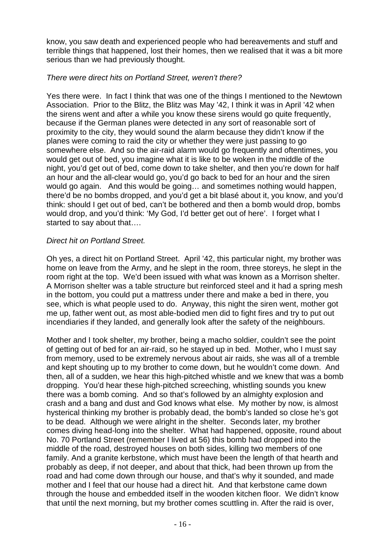know, you saw death and experienced people who had bereavements and stuff and terrible things that happened, lost their homes, then we realised that it was a bit more serious than we had previously thought.

# There were direct hits on Portland Street, weren't there?

Yes there were. In fact I think that was one of the things I mentioned to the Newtown Association. Prior to the Blitz, the Blitz was May '42, I think it was in April '42 when the sirens went and after a while you know these sirens would go quite frequently, because if the German planes were detected in any sort of reasonable sort of proximity to the city, they would sound the alarm because they didn't know if the planes were coming to raid the city or whether they were just passing to go somewhere else. And so the air-raid alarm would go frequently and oftentimes, you would get out of bed, you imagine what it is like to be woken in the middle of the night, you'd get out of bed, come down to take shelter, and then you're down for half an hour and the all-clear would go, you'd go back to bed for an hour and the siren would go again. And this would be going… and sometimes nothing would happen, there'd be no bombs dropped, and you'd get a bit blasé about it, you know, and you'd think: should I get out of bed, can't be bothered and then a bomb would drop, bombs would drop, and you'd think: 'My God, I'd better get out of here'. I forget what I started to say about that….

# Direct hit on Portland Street.

Oh yes, a direct hit on Portland Street. April '42, this particular night, my brother was home on leave from the Army, and he slept in the room, three storeys, he slept in the room right at the top. We'd been issued with what was known as a Morrison shelter. A Morrison shelter was a table structure but reinforced steel and it had a spring mesh in the bottom, you could put a mattress under there and make a bed in there, you see, which is what people used to do. Anyway, this night the siren went, mother got me up, father went out, as most able-bodied men did to fight fires and try to put out incendiaries if they landed, and generally look after the safety of the neighbours.

Mother and I took shelter, my brother, being a macho soldier, couldn't see the point of getting out of bed for an air-raid, so he stayed up in bed. Mother, who I must say from memory, used to be extremely nervous about air raids, she was all of a tremble and kept shouting up to my brother to come down, but he wouldn't come down. And then, all of a sudden, we hear this high-pitched whistle and we knew that was a bomb dropping. You'd hear these high-pitched screeching, whistling sounds you knew there was a bomb coming. And so that's followed by an almighty explosion and crash and a bang and dust and God knows what else. My mother by now, is almost hysterical thinking my brother is probably dead, the bomb's landed so close he's got to be dead. Although we were alright in the shelter. Seconds later, my brother comes diving head-long into the shelter. What had happened, opposite, round about No. 70 Portland Street (remember I lived at 56) this bomb had dropped into the middle of the road, destroyed houses on both sides, killing two members of one family. And a granite kerbstone, which must have been the length of that hearth and probably as deep, if not deeper, and about that thick, had been thrown up from the road and had come down through our house, and that's why it sounded, and made mother and I feel that our house had a direct hit. And that kerbstone came down through the house and embedded itself in the wooden kitchen floor. We didn't know that until the next morning, but my brother comes scuttling in. After the raid is over,